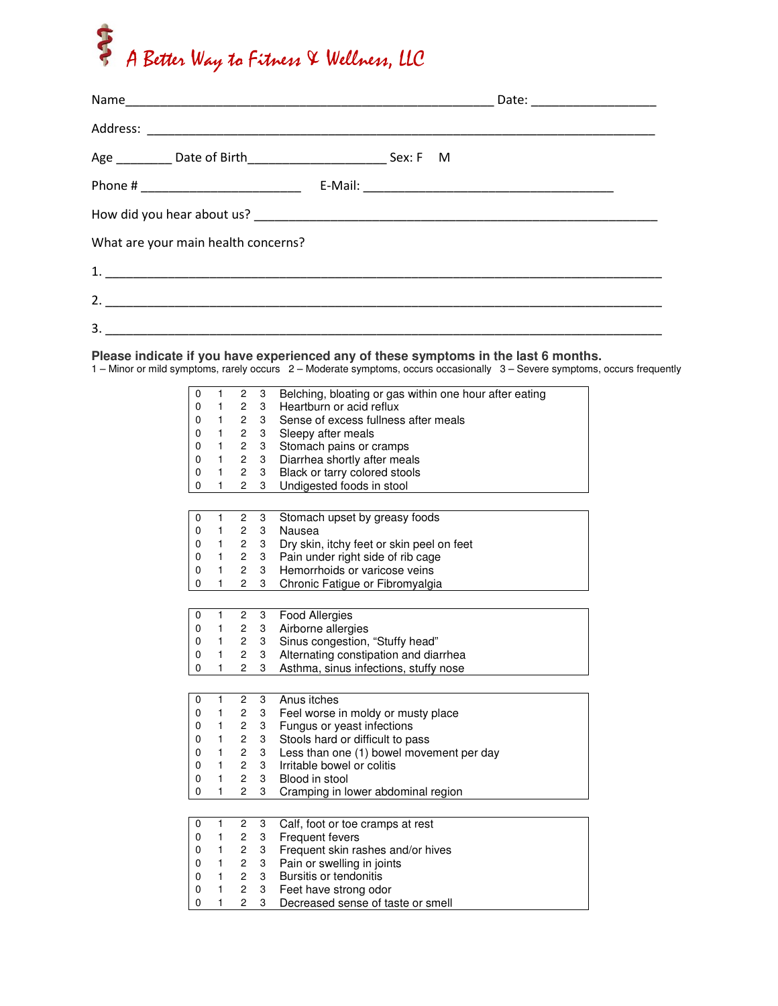## A Better Way to Fitness & Wellness, LLC

|                                     |  |  | Date: _____________________ |  |  |  |
|-------------------------------------|--|--|-----------------------------|--|--|--|
|                                     |  |  |                             |  |  |  |
|                                     |  |  |                             |  |  |  |
|                                     |  |  |                             |  |  |  |
|                                     |  |  |                             |  |  |  |
| What are your main health concerns? |  |  |                             |  |  |  |
|                                     |  |  |                             |  |  |  |
|                                     |  |  |                             |  |  |  |
| 3.                                  |  |  |                             |  |  |  |

## **Please indicate if you have experienced any of these symptoms in the last 6 months.**  1 – Minor or mild symptoms, rarely occurs 2 – Moderate symptoms, occurs occasionally 3 – Severe symptoms, occurs frequently

| 0 | 1            | 2                       | 3 | Belching, bloating or gas within one hour after eating |
|---|--------------|-------------------------|---|--------------------------------------------------------|
| 0 | 1            | $\overline{2}$          | 3 | Heartburn or acid reflux                               |
| 0 | 1            | 2                       | 3 | Sense of excess fullness after meals                   |
| 0 | 1            | 2                       | 3 | Sleepy after meals                                     |
| 0 | 1            | 2                       | 3 | Stomach pains or cramps                                |
| 0 | 1            | $\overline{c}$          | 3 | Diarrhea shortly after meals                           |
| 0 | 1            | 2                       | 3 | Black or tarry colored stools                          |
| 0 | 1            | $\overline{2}$          | 3 | Undigested foods in stool                              |
|   |              |                         |   |                                                        |
| 0 | 1            | 2                       | 3 | Stomach upset by greasy foods                          |
| 0 | 1            | $\overline{\mathbf{c}}$ | 3 | Nausea                                                 |
| 0 | 1            | $\overline{c}$          | 3 | Dry skin, itchy feet or skin peel on feet              |
| 0 | 1            | 2                       | 3 | Pain under right side of rib cage                      |
| 0 | 1            | $\overline{2}$          | 3 | Hemorrhoids or varicose veins                          |
| 0 | 1            | $\overline{2}$          | 3 | Chronic Fatigue or Fibromyalgia                        |
|   |              |                         |   |                                                        |
| 0 | 1            | $\overline{c}$          | 3 | <b>Food Allergies</b>                                  |
| 0 | 1            | $\overline{c}$          | 3 | Airborne allergies                                     |
| 0 | 1            | $\overline{c}$          | 3 | Sinus congestion, "Stuffy head"                        |
| 0 | 1            | $\overline{2}$          | 3 | Alternating constipation and diarrhea                  |
| 0 | 1            | $\overline{2}$          | 3 | Asthma, sinus infections, stuffy nose                  |
|   |              |                         |   |                                                        |
| 0 | 1            | $\overline{c}$          | 3 | Anus itches                                            |
| 0 | 1            | 2                       | 3 | Feel worse in moldy or musty place                     |
| 0 | 1            | $\overline{\mathbf{c}}$ | 3 | Fungus or yeast infections                             |
| 0 | 1            | $\overline{c}$          | 3 | Stools hard or difficult to pass                       |
| 0 | 1            | 2                       | 3 | Less than one (1) bowel movement per day               |
| 0 | 1            | $\overline{c}$          | 3 | Irritable bowel or colitis                             |
| 0 | 1            | $\overline{c}$          | 3 | Blood in stool                                         |
| 0 | 1            | 2                       | 3 | Cramping in lower abdominal region                     |
|   |              |                         |   |                                                        |
| 0 | 1            | 2                       | 3 | Calf, foot or toe cramps at rest                       |
| 0 | 1            | $\overline{2}$          | 3 | <b>Frequent fevers</b>                                 |
| 0 | 1            | 2                       | 3 | Frequent skin rashes and/or hives                      |
| 0 | 1            | 2                       | 3 | Pain or swelling in joints                             |
| 0 | 1            | $\overline{c}$          | 3 | Bursitis or tendonitis                                 |
| 0 | 1            | $\overline{c}$          | 3 | Feet have strong odor                                  |
| 0 | $\mathbf{1}$ | $\overline{c}$          | 3 | Decreased sense of taste or smell                      |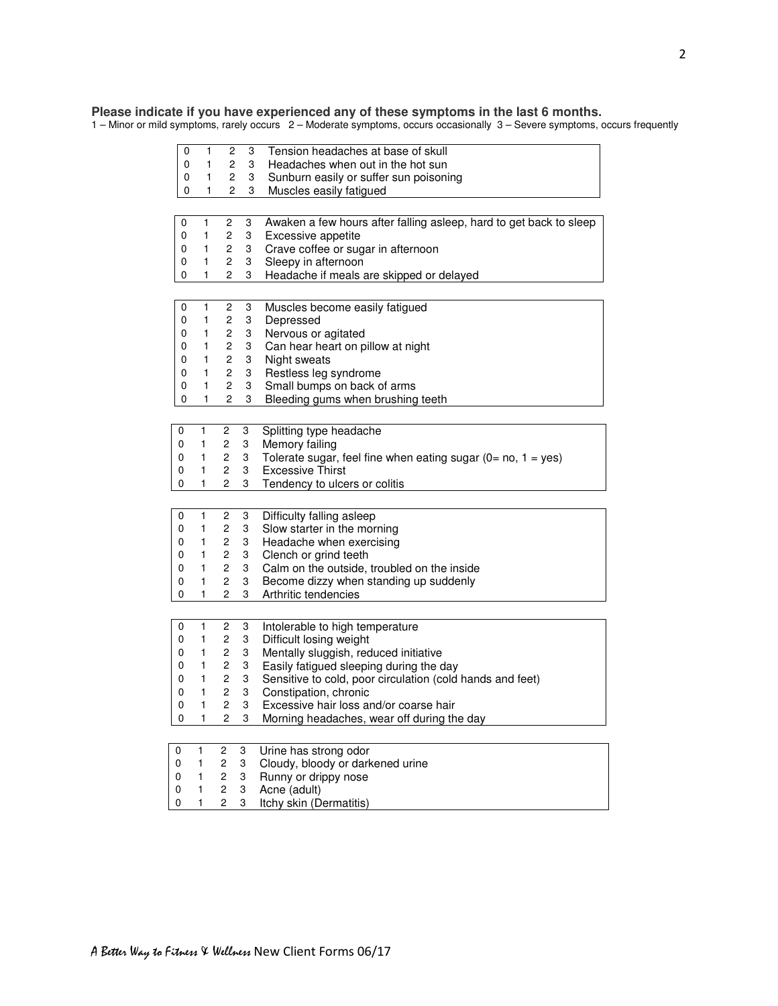## **Please indicate if you have experienced any of these symptoms in the last 6 months.**

1 – Minor or mild symptoms, rarely occurs 2 – Moderate symptoms, occurs occasionally 3 – Severe symptoms, occurs frequently

| 0           | 1            | 2                       | 3 | Tension headaches at base of skull                                                 |
|-------------|--------------|-------------------------|---|------------------------------------------------------------------------------------|
| 0           | 1            | 2                       | 3 | Headaches when out in the hot sun                                                  |
| 0           | 1            | 2                       | 3 | Sunburn easily or suffer sun poisoning                                             |
| 0           | 1            | 2                       | 3 | Muscles easily fatigued                                                            |
|             |              |                         |   |                                                                                    |
|             |              |                         |   |                                                                                    |
| 0           | 1            | $\overline{c}$          | 3 | Awaken a few hours after falling asleep, hard to get back to sleep                 |
| 0           | 1            | $\overline{c}$          | 3 | Excessive appetite                                                                 |
| 0           | 1            | $\mathbf{2}$            | 3 | Crave coffee or sugar in afternoon                                                 |
| 0           | 1            | 2                       | 3 | Sleepy in afternoon                                                                |
| 0           | 1            | 2                       | 3 | Headache if meals are skipped or delayed                                           |
|             |              |                         |   |                                                                                    |
| 0           | 1            | 2                       | 3 | Muscles become easily fatigued                                                     |
| 0           | 1            | $\overline{c}$          | 3 | Depressed                                                                          |
| 0           | 1            | $\mathbf{2}$            | 3 | Nervous or agitated                                                                |
| 0           | 1            | $\mathbf{2}$            | 3 | Can hear heart on pillow at night                                                  |
| 0           | $\mathbf{1}$ | $\mathbf{2}$            | 3 | Night sweats                                                                       |
| 0           | 1            | $\mathbf{2}^{\prime}$   | 3 | Restless leg syndrome                                                              |
| 0           | 1            | $\mathbf{2}$            | 3 | Small bumps on back of arms                                                        |
| 0           | 1            | 2                       | 3 | Bleeding gums when brushing teeth                                                  |
|             |              |                         |   |                                                                                    |
|             | 1            | $\overline{c}$          |   |                                                                                    |
| 0           |              |                         | 3 | Splitting type headache                                                            |
| 0           | 1            | $\overline{c}$          | 3 | Memory failing                                                                     |
| 0           | 1            | 2                       | 3 | Tolerate sugar, feel fine when eating sugar ( $0 = \text{no}$ , $1 = \text{yes}$ ) |
| 0           | 1            | $\overline{2}$          | 3 | <b>Excessive Thirst</b>                                                            |
| 0           | 1            | 2                       | 3 | Tendency to ulcers or colitis                                                      |
|             |              |                         |   |                                                                                    |
| 0           | 1            | 2                       | 3 | Difficulty falling asleep                                                          |
| 0           | 1            | 2                       | 3 | Slow starter in the morning                                                        |
| 0           | 1            | 2                       | 3 | Headache when exercising                                                           |
| 0           | 1            | 2                       | 3 | Clench or grind teeth                                                              |
| 0           | 1            | 2                       | 3 | Calm on the outside, troubled on the inside                                        |
| 0           | 1            | $\mathbf{2}$            | 3 | Become dizzy when standing up suddenly                                             |
| 0           | 1            | $\overline{c}$          | 3 | Arthritic tendencies                                                               |
|             |              |                         |   |                                                                                    |
| 0           | 1            | $\overline{c}$          | 3 |                                                                                    |
| 0           | 1            | 2                       | 3 | Intolerable to high temperature<br>Difficult losing weight                         |
|             | 1            | $\overline{c}$          | 3 |                                                                                    |
| 0           | 1            | 2                       |   | Mentally sluggish, reduced initiative                                              |
| 0           | 1            |                         | 3 | Easily fatigued sleeping during the day                                            |
| 0           | 1            | 2<br>$\mathbf{2}$       | 3 | Sensitive to cold, poor circulation (cold hands and feet)                          |
| 0           |              |                         | 3 | Constipation, chronic                                                              |
| 0           | 1            | $\mathbf{2}$            | 3 | Excessive hair loss and/or coarse hair                                             |
| 0           | 1            | 2                       | 3 | Morning headaches, wear off during the day                                         |
|             |              |                         |   |                                                                                    |
| $\mathbf 0$ | 1            | 2                       | 3 | Urine has strong odor                                                              |
| 0           | 1            | $\overline{\mathbf{c}}$ | 3 | Cloudy, bloody or darkened urine                                                   |
| 0           | 1            | $\overline{c}$          | 3 | Runny or drippy nose                                                               |
| 0           | $\mathbf{1}$ | $\mathbf 2$             | 3 | Acne (adult)                                                                       |
| 0           | $\mathbf{1}$ | 2                       | 3 | Itchy skin (Dermatitis)                                                            |
|             |              |                         |   |                                                                                    |